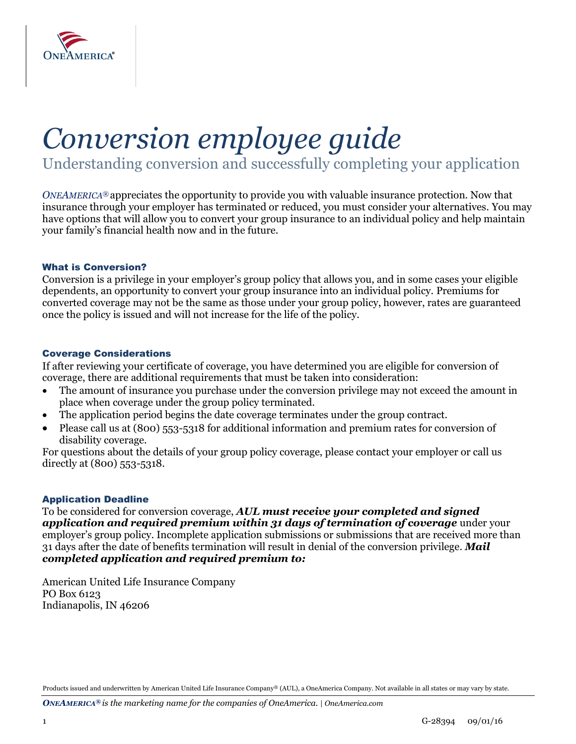

# *Conversion employee guide*

Understanding conversion and successfully completing your application

*ONEAMERICA®* appreciates the opportunity to provide you with valuable insurance protection. Now that insurance through your employer has terminated or reduced, you must consider your alternatives. You may have options that will allow you to convert your group insurance to an individual policy and help maintain your family's financial health now and in the future.

## What is Conversion?

Conversion is a privilege in your employer's group policy that allows you, and in some cases your eligible dependents, an opportunity to convert your group insurance into an individual policy. Premiums for converted coverage may not be the same as those under your group policy, however, rates are guaranteed once the policy is issued and will not increase for the life of the policy.

#### Coverage Considerations

If after reviewing your certificate of coverage, you have determined you are eligible for conversion of coverage, there are additional requirements that must be taken into consideration:

- The amount of insurance you purchase under the conversion privilege may not exceed the amount in place when coverage under the group policy terminated.
- The application period begins the date coverage terminates under the group contract.
- Please call us at (800) 553-5318 for additional information and premium rates for conversion of disability coverage.

For questions about the details of your group policy coverage, please contact your employer or call us directly at (800) 553-5318.

## Application Deadline

To be considered for conversion coverage, *AUL must receive your completed and signed application and required premium within 31 days of termination of coverage* under your employer's group policy. Incomplete application submissions or submissions that are received more than 31 days after the date of benefits termination will result in denial of the conversion privilege. *Mail completed application and required premium to:*

American United Life Insurance Company PO Box 6123 Indianapolis, IN 46206

Products issued and underwritten by American United Life Insurance Company® (AUL), a OneAmerica Company. Not available in all states or may vary by state.

*ONEAMERICA® is the marketing name for the companies of OneAmerica. | OneAmerica.com*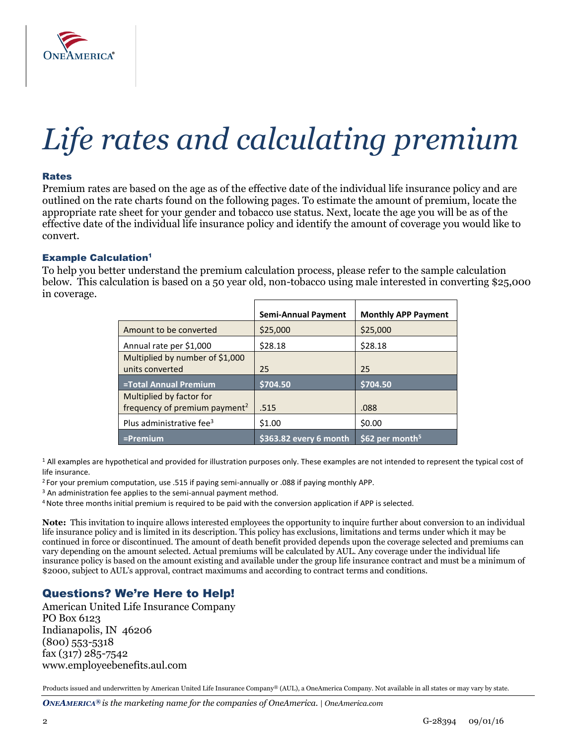

# *Life rates and calculating premium*

#### Rates

Premium rates are based on the age as of the effective date of the individual life insurance policy and are outlined on the rate charts found on the following pages. To estimate the amount of premium, locate the appropriate rate sheet for your gender and tobacco use status. Next, locate the age you will be as of the effective date of the individual life insurance policy and identify the amount of coverage you would like to convert.

#### **Example Calculation<sup>1</sup>**

To help you better understand the premium calculation process, please refer to the sample calculation below. This calculation is based on a 50 year old, non-tobacco using male interested in converting \$25,000 in coverage.

|                                                                       | <b>Semi-Annual Payment</b> | <b>Monthly APP Payment</b>  |
|-----------------------------------------------------------------------|----------------------------|-----------------------------|
| Amount to be converted                                                | \$25,000                   | \$25,000                    |
| Annual rate per \$1,000                                               | \$28.18                    | \$28.18                     |
| Multiplied by number of \$1,000<br>units converted                    | 25                         | 25                          |
| =Total Annual Premium                                                 | \$704.50                   | \$704.50                    |
| Multiplied by factor for<br>frequency of premium payment <sup>2</sup> | .515                       | .088                        |
| Plus administrative fee <sup>3</sup>                                  | \$1.00                     | \$0.00                      |
| $=$ Premium                                                           | \$363.82 every 6 month     | \$62 per month <sup>5</sup> |

<sup>1</sup> All examples are hypothetical and provided for illustration purposes only. These examples are not intended to represent the typical cost of life insurance.

<sup>2</sup> For your premium computation, use .515 if paying semi-annually or .088 if paying monthly APP.

<sup>3</sup> An administration fee applies to the semi-annual payment method.

<sup>4</sup>Note three months initial premium is required to be paid with the conversion application if APP is selected.

**Note:** This invitation to inquire allows interested employees the opportunity to inquire further about conversion to an individual life insurance policy and is limited in its description. This policy has exclusions, limitations and terms under which it may be continued in force or discontinued. The amount of death benefit provided depends upon the coverage selected and premiums can vary depending on the amount selected. Actual premiums will be calculated by AUL. Any coverage under the individual life insurance policy is based on the amount existing and available under the group life insurance contract and must be a minimum of \$2000, subject to AUL's approval, contract maximums and according to contract terms and conditions.

# Questions? We're Here to Help!

American United Life Insurance Company PO Box 6123 Indianapolis, IN 46206 (800) 553-5318 fax (317) 285-7542 www.employeebenefits.aul.com

Products issued and underwritten by American United Life Insurance Company® (AUL), a OneAmerica Company. Not available in all states or may vary by state.

*ONEAMERICA® is the marketing name for the companies of OneAmerica. | OneAmerica.com*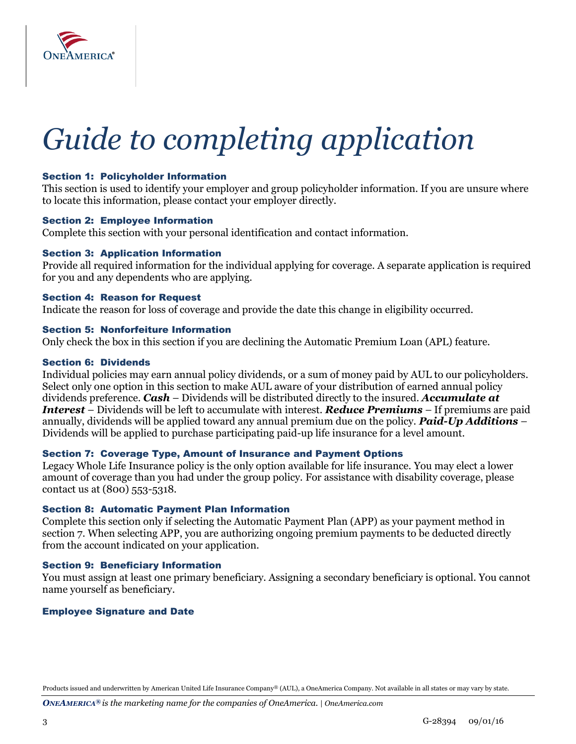

# *Guide to completing application*

## Section 1: Policyholder Information

This section is used to identify your employer and group policyholder information. If you are unsure where to locate this information, please contact your employer directly.

#### Section 2: Employee Information

Complete this section with your personal identification and contact information.

## Section 3: Application Information

Provide all required information for the individual applying for coverage. A separate application is required for you and any dependents who are applying.

## Section 4: Reason for Request

Indicate the reason for loss of coverage and provide the date this change in eligibility occurred.

#### Section 5: Nonforfeiture Information

Only check the box in this section if you are declining the Automatic Premium Loan (APL) feature.

## Section 6: Dividends

Individual policies may earn annual policy dividends, or a sum of money paid by AUL to our policyholders. Select only one option in this section to make AUL aware of your distribution of earned annual policy dividends preference. *Cash* – Dividends will be distributed directly to the insured. *Accumulate at Interest* – Dividends will be left to accumulate with interest. *Reduce Premiums* – If premiums are paid annually, dividends will be applied toward any annual premium due on the policy. *Paid-Up Additions* – Dividends will be applied to purchase participating paid-up life insurance for a level amount.

## Section 7: Coverage Type, Amount of Insurance and Payment Options

Legacy Whole Life Insurance policy is the only option available for life insurance. You may elect a lower amount of coverage than you had under the group policy. For assistance with disability coverage, please contact us at (800) 553-5318.

## Section 8: Automatic Payment Plan Information

Complete this section only if selecting the Automatic Payment Plan (APP) as your payment method in section 7. When selecting APP, you are authorizing ongoing premium payments to be deducted directly from the account indicated on your application.

## Section 9: Beneficiary Information

You must assign at least one primary beneficiary. Assigning a secondary beneficiary is optional. You cannot name yourself as beneficiary.

## Employee Signature and Date

Products issued and underwritten by American United Life Insurance Company® (AUL), a OneAmerica Company. Not available in all states or may vary by state.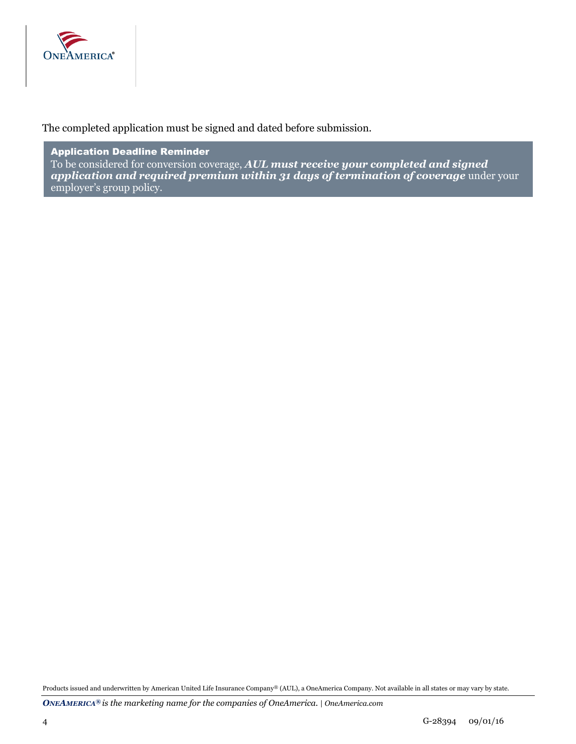

The completed application must be signed and dated before submission.

Application Deadline Reminder To be considered for conversion coverage, *AUL must receive your completed and signed application and required premium within 31 days of termination of coverage* under your employer's group policy.

Products issued and underwritten by American United Life Insurance Company® (AUL), a OneAmerica Company. Not available in all states or may vary by state.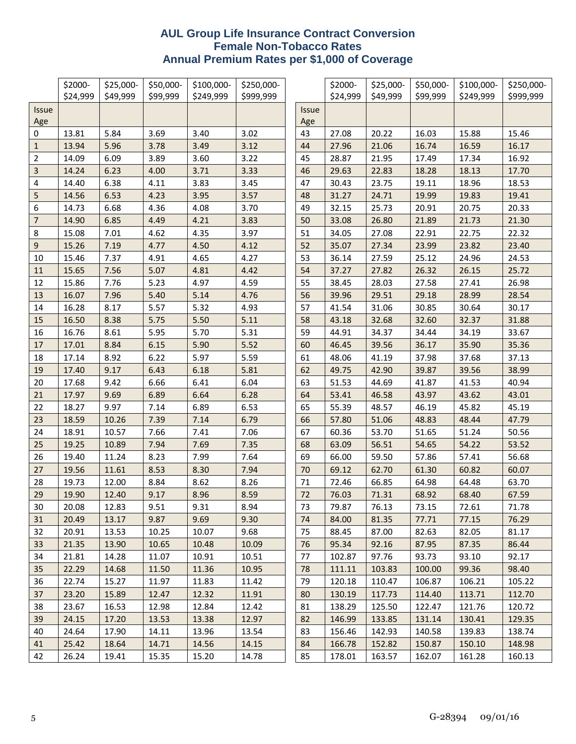# **AUL Group Life Insurance Contract Conversion Female Non-Tobacco Rates Annual Premium Rates per \$1,000 of Coverage**

|                | \$2000-        | \$25,000-    | \$50,000-    | \$100,000-   | \$250,000-   |              | \$2000-        | \$25,000-      | \$50,000-      | \$100,000-     | \$250,000-     |
|----------------|----------------|--------------|--------------|--------------|--------------|--------------|----------------|----------------|----------------|----------------|----------------|
|                | \$24,999       | \$49,999     | \$99,999     | \$249,999    | \$999,999    |              | \$24,999       | \$49,999       | \$99,999       | \$249,999      | \$999,999      |
| <b>Issue</b>   |                |              |              |              |              | <b>Issue</b> |                |                |                |                |                |
| Age            |                |              |              |              |              | Age          |                |                |                |                |                |
| 0<br>$1\,$     | 13.81          | 5.84<br>5.96 | 3.69         | 3.40<br>3.49 | 3.02         | 43<br>44     | 27.08          | 20.22          | 16.03          | 15.88          | 15.46          |
| 2              | 13.94<br>14.09 | 6.09         | 3.78<br>3.89 | 3.60         | 3.12<br>3.22 | 45           | 27.96<br>28.87 | 21.06<br>21.95 | 16.74<br>17.49 | 16.59<br>17.34 | 16.17<br>16.92 |
| $\mathbf{3}$   | 14.24          | 6.23         | 4.00         | 3.71         | 3.33         | 46           | 29.63          | 22.83          | 18.28          | 18.13          | 17.70          |
| 4              | 14.40          | 6.38         | 4.11         | 3.83         | 3.45         | 47           | 30.43          | 23.75          | 19.11          | 18.96          | 18.53          |
| 5              | 14.56          | 6.53         | 4.23         | 3.95         | 3.57         | 48           | 31.27          | 24.71          | 19.99          | 19.83          | 19.41          |
| 6              | 14.73          | 6.68         | 4.36         | 4.08         | 3.70         | 49           | 32.15          | 25.73          | 20.91          | 20.75          | 20.33          |
| $\overline{7}$ | 14.90          | 6.85         | 4.49         | 4.21         | 3.83         | 50           | 33.08          | 26.80          | 21.89          | 21.73          | 21.30          |
| 8              | 15.08          | 7.01         | 4.62         | 4.35         | 3.97         | 51           | 34.05          | 27.08          | 22.91          | 22.75          | 22.32          |
| 9              | 15.26          | 7.19         | 4.77         | 4.50         | 4.12         | 52           | 35.07          | 27.34          | 23.99          | 23.82          | 23.40          |
| 10             | 15.46          | 7.37         | 4.91         | 4.65         | 4.27         | 53           | 36.14          | 27.59          | 25.12          | 24.96          | 24.53          |
| 11             | 15.65          | 7.56         | 5.07         | 4.81         | 4.42         | 54           | 37.27          | 27.82          | 26.32          | 26.15          | 25.72          |
| 12             | 15.86          | 7.76         | 5.23         | 4.97         | 4.59         | 55           | 38.45          | 28.03          | 27.58          | 27.41          | 26.98          |
| 13             | 16.07          | 7.96         | 5.40         | 5.14         | 4.76         | 56           | 39.96          | 29.51          | 29.18          | 28.99          | 28.54          |
| 14             | 16.28          | 8.17         | 5.57         | 5.32         | 4.93         | 57           | 41.54          | 31.06          | 30.85          | 30.64          | 30.17          |
| $15\,$         | 16.50          | 8.38         | 5.75         | 5.50         | 5.11         | 58           | 43.18          | 32.68          | 32.60          | 32.37          | 31.88          |
| 16             | 16.76          | 8.61         | 5.95         | 5.70         | 5.31         | 59           | 44.91          | 34.37          | 34.44          | 34.19          | 33.67          |
| 17             | 17.01          | 8.84         | 6.15         | 5.90         | 5.52         | 60           | 46.45          | 39.56          | 36.17          | 35.90          | 35.36          |
| 18             | 17.14          | 8.92         | 6.22         | 5.97         | 5.59         | 61           | 48.06          | 41.19          | 37.98          | 37.68          | 37.13          |
| 19             | 17.40          | 9.17         | 6.43         | 6.18         | 5.81         | 62           | 49.75          | 42.90          | 39.87          | 39.56          | 38.99          |
| 20             | 17.68          | 9.42         | 6.66         | 6.41         | 6.04         | 63           | 51.53          | 44.69          | 41.87          | 41.53          | 40.94          |
| 21             | 17.97          | 9.69         | 6.89         | 6.64         | 6.28         | 64           | 53.41          | 46.58          | 43.97          | 43.62          | 43.01          |
| 22             | 18.27          | 9.97         | 7.14         | 6.89         | 6.53         | 65           | 55.39          | 48.57          | 46.19          | 45.82          | 45.19          |
| 23             | 18.59          | 10.26        | 7.39         | 7.14         | 6.79         | 66           | 57.80          | 51.06          | 48.83          | 48.44          | 47.79          |
| 24             | 18.91          | 10.57        | 7.66         | 7.41         | 7.06         | 67           | 60.36          | 53.70          | 51.65          | 51.24          | 50.56          |
| 25             | 19.25          | 10.89        | 7.94         | 7.69         | 7.35         | 68           | 63.09          | 56.51          | 54.65          | 54.22          | 53.52          |
| 26             | 19.40          | 11.24        | 8.23         | 7.99         | 7.64         | 69           | 66.00          | 59.50          | 57.86          | 57.41          | 56.68          |
| 27             | 19.56          | 11.61        | 8.53         | 8.30         | 7.94         | 70           | 69.12          | 62.70          | 61.30          | 60.82          | 60.07          |
| 28             | 19.73          | 12.00        | 8.84         | 8.62         | 8.26         | 71           | 72.46          | 66.85          | 64.98          | 64.48          | 63.70          |
| 29             | 19.90          | 12.40        | 9.17         | 8.96         | 8.59         | 72           | 76.03          | 71.31          | 68.92          | 68.40          | 67.59          |
| 30             | 20.08          | 12.83        | 9.51         | 9.31         | 8.94         | 73           | 79.87          | 76.13          | 73.15          | 72.61          | 71.78          |
| 31             | 20.49          | 13.17        | 9.87         | 9.69         | 9.30         | 74           | 84.00          | 81.35          | 77.71          | 77.15          | 76.29          |
| 32             | 20.91          | 13.53        | 10.25        | 10.07        | 9.68         | 75           | 88.45          | 87.00          | 82.63          | 82.05          | 81.17          |
| 33             | 21.35          | 13.90        | 10.65        | 10.48        | 10.09        | 76           | 95.34          | 92.16          | 87.95          | 87.35          | 86.44          |
| 34             | 21.81          | 14.28        | 11.07        | 10.91        | 10.51        | 77           | 102.87         | 97.76          | 93.73          | 93.10          | 92.17          |
| 35             | 22.29          | 14.68        | 11.50        | 11.36        | 10.95        | 78           | 111.11         | 103.83         | 100.00         | 99.36          | 98.40          |
| 36             | 22.74          | 15.27        | 11.97        | 11.83        | 11.42        | 79           | 120.18         | 110.47         | 106.87         | 106.21         | 105.22         |
| 37             | 23.20          | 15.89        | 12.47        | 12.32        | 11.91        | 80           | 130.19         | 117.73         | 114.40         | 113.71         | 112.70         |
| 38             | 23.67          | 16.53        | 12.98        | 12.84        | 12.42        | 81           | 138.29         | 125.50         | 122.47         | 121.76         | 120.72         |
| 39             | 24.15          | 17.20        | 13.53        | 13.38        | 12.97        | 82           | 146.99         | 133.85         | 131.14         | 130.41         | 129.35         |
| 40             | 24.64          | 17.90        | 14.11        | 13.96        | 13.54        | 83           | 156.46         | 142.93         | 140.58         | 139.83         | 138.74         |
| 41             | 25.42          | 18.64        | 14.71        | 14.56        | 14.15        | 84           | 166.78         | 152.82         | 150.87         | 150.10         | 148.98         |
| 42             | 26.24          | 19.41        | 15.35        | 15.20        | 14.78        | 85           | 178.01         | 163.57         | 162.07         | 161.28         | 160.13         |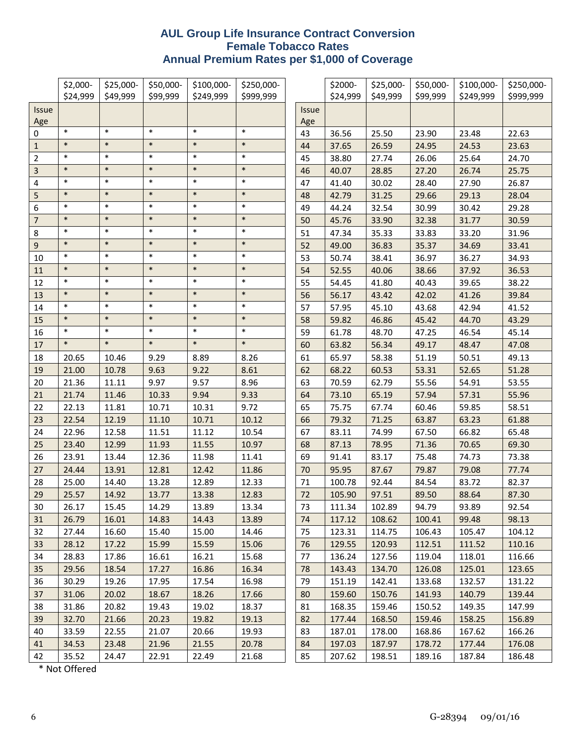# **AUL Group Life Insurance Contract Conversion Female Tobacco Rates Annual Premium Rates per \$1,000 of Coverage**

|                         | \$2,000-<br>\$24,999 | \$25,000-<br>\$49,999 | \$50,000-<br>\$99,999 | \$100,000-<br>\$249,999 | \$250,000-<br>\$999,999 |              | \$2000-<br>\$24,999 | \$25,000-<br>\$49,999 | \$50,000-<br>\$99,999 | \$100,000-<br>\$249,999 | \$250,000-<br>\$999,999 |
|-------------------------|----------------------|-----------------------|-----------------------|-------------------------|-------------------------|--------------|---------------------|-----------------------|-----------------------|-------------------------|-------------------------|
| <b>Issue</b>            |                      |                       |                       |                         |                         | <b>Issue</b> |                     |                       |                       |                         |                         |
| Age                     |                      |                       |                       |                         |                         | Age          |                     |                       |                       |                         |                         |
| 0                       | $\ast$               | $\ast$                | $\ast$                | $\ast$                  | $\ast$                  | 43           | 36.56               | 25.50                 | 23.90                 | 23.48                   | 22.63                   |
| $\mathbf{1}$            | $\ast$               | $\ast$                | $\ast$                | $\ast$                  | $\ast$                  | 44           | 37.65               | 26.59                 | 24.95                 | 24.53                   | 23.63                   |
| $\overline{2}$          | $\ast$               | $\ast$                | $\ast$                | $\ast$                  | $\ast$                  | 45           | 38.80               | 27.74                 | 26.06                 | 25.64                   | 24.70                   |
| $\mathsf 3$             | $\ast$               | $\ast$                | $\ast$                | $\ast$                  | $\ast$                  | 46           | 40.07               | 28.85                 | 27.20                 | 26.74                   | 25.75                   |
| $\overline{\mathbf{4}}$ | $\ast$               | $\ast$                | $\ast$                | $\ast$                  | $\ast$                  | 47           | 41.40               | 30.02                 | 28.40                 | 27.90                   | 26.87                   |
| $\mathsf S$             | $\ast$               | $\ast$                | $\ast$                | $\ast$                  | $\ast$                  | 48           | 42.79               | 31.25                 | 29.66                 | 29.13                   | 28.04                   |
| 6                       | $\ast$               | $\ast$                | $\ast$                | $\ast$                  | $\ast$                  | 49           | 44.24               | 32.54                 | 30.99                 | 30.42                   | 29.28                   |
| $\overline{7}$          | $\ast$               | $\ast$                | $\ast$                | $\ast$                  | $\ast$                  | 50           | 45.76               | 33.90                 | 32.38                 | 31.77                   | 30.59                   |
| $\bf 8$                 | $\ast$               | $\ast$                | $\ast$                | $\ast$                  | $\ast$                  | 51           | 47.34               | 35.33                 | 33.83                 | 33.20                   | 31.96                   |
| $\boldsymbol{9}$        | $\ast$               | $\ast$                | $\ast$                | $\ast$                  | $\ast$                  | 52           | 49.00               | 36.83                 | 35.37                 | 34.69                   | 33.41                   |
| 10                      | $\ast$               | $\ast$                | $\ast$                | $\ast$                  | $\ast$                  | 53           | 50.74               | 38.41                 | 36.97                 | 36.27                   | 34.93                   |
| 11                      | $\ast$               | $\ast$                | $\ast$                | $\ast$                  | $\ast$                  | 54           | 52.55               | 40.06                 | 38.66                 | 37.92                   | 36.53                   |
| 12                      | $\ast$               | $\ast$                | $\ast$                | $\ast$                  | $\ast$                  | 55           | 54.45               | 41.80                 | 40.43                 | 39.65                   | 38.22                   |
| 13                      | $\ast$               | $\ast$                | $\ast$                | $\ast$                  | $\ast$                  | 56           | 56.17               | 43.42                 | 42.02                 | 41.26                   | 39.84                   |
| 14                      | $\ast$               | $\ast$                | $\ast$                | $\ast$                  | $\ast$                  | 57           | 57.95               | 45.10                 | 43.68                 | 42.94                   | 41.52                   |
| 15                      | $\ast$               | $\ast$                | $\ast$                | $\ast$                  | $\ast$                  | 58           | 59.82               | 46.86                 | 45.42                 | 44.70                   | 43.29                   |
| 16                      | $\ast$               | $\ast$                | $\ast$                | $\ast$                  | $\ast$                  | 59           | 61.78               | 48.70                 | 47.25                 | 46.54                   | 45.14                   |
| 17                      | $\ast$               | $\ast$                | $\ast$                | $\ast$                  | $\ast$                  | 60           | 63.82               | 56.34                 | 49.17                 | 48.47                   | 47.08                   |
| 18                      | 20.65                | 10.46                 | 9.29                  | 8.89                    | 8.26                    | 61           | 65.97               | 58.38                 | 51.19                 | 50.51                   | 49.13                   |
| 19                      | 21.00                | 10.78                 | 9.63                  | 9.22                    | 8.61                    | 62           | 68.22               | 60.53                 | 53.31                 | 52.65                   | 51.28                   |
| 20                      | 21.36                | 11.11                 | 9.97                  | 9.57                    | 8.96                    | 63           | 70.59               | 62.79                 | 55.56                 | 54.91                   | 53.55                   |
| 21                      | 21.74                | 11.46                 | 10.33                 | 9.94                    | 9.33                    | 64           | 73.10               | 65.19                 | 57.94                 | 57.31                   | 55.96                   |
| 22                      | 22.13                | 11.81                 | 10.71                 | 10.31                   | 9.72                    | 65           | 75.75               | 67.74                 | 60.46                 | 59.85                   | 58.51                   |
| 23                      | 22.54                | 12.19                 | 11.10                 | 10.71                   | 10.12                   | 66           | 79.32               | 71.25                 | 63.87                 | 63.23                   | 61.88                   |
| 24                      | 22.96                | 12.58                 | 11.51                 | 11.12                   | 10.54                   | 67           | 83.11               | 74.99                 | 67.50                 | 66.82                   | 65.48                   |
| 25                      | 23.40                | 12.99                 | 11.93                 | 11.55                   | 10.97                   | 68           | 87.13               | 78.95                 | 71.36                 | 70.65                   | 69.30                   |
| 26                      | 23.91                | 13.44                 | 12.36                 | 11.98                   | 11.41                   | 69           | 91.41               | 83.17                 | 75.48                 | 74.73                   | 73.38                   |
| 27                      | 24.44                | 13.91                 | 12.81                 | 12.42                   | 11.86                   | 70           | 95.95               | 87.67                 | 79.87                 | 79.08                   | 77.74                   |
| 28                      | 25.00                | 14.40                 | 13.28                 | 12.89                   | 12.33                   | 71           | 100.78              | 92.44                 | 84.54                 | 83.72                   | 82.37                   |
| 29                      | 25.57                | 14.92                 | 13.77                 | 13.38                   | 12.83                   | 72           | 105.90              | 97.51                 | 89.50                 | 88.64                   | 87.30                   |
| 30                      | 26.17                | 15.45                 | 14.29                 | 13.89                   | 13.34                   | 73           | 111.34              | 102.89                | 94.79                 | 93.89                   | 92.54                   |
| 31                      | 26.79                | 16.01                 | 14.83                 | 14.43                   | 13.89                   | 74           | 117.12              | 108.62                | 100.41                | 99.48                   | 98.13                   |
| 32                      | 27.44                | 16.60                 | 15.40                 | 15.00                   | 14.46                   | 75           | 123.31              | 114.75                | 106.43                | 105.47                  | 104.12                  |
| 33                      | 28.12                | 17.22                 | 15.99                 | 15.59                   | 15.06                   | 76           | 129.55              | 120.93                | 112.51                | 111.52                  | 110.16                  |
| 34                      | 28.83                | 17.86                 | 16.61                 | 16.21                   | 15.68                   | 77           | 136.24              | 127.56                | 119.04                | 118.01                  | 116.66                  |
| 35                      | 29.56                | 18.54                 | 17.27                 | 16.86                   | 16.34                   | 78           | 143.43              | 134.70                | 126.08                | 125.01                  | 123.65                  |
| 36                      | 30.29                | 19.26                 | 17.95                 | 17.54                   | 16.98                   | 79           | 151.19              | 142.41                | 133.68                | 132.57                  | 131.22                  |
| 37                      | 31.06                | 20.02                 | 18.67                 | 18.26                   | 17.66                   | 80           | 159.60              | 150.76                | 141.93                | 140.79                  | 139.44                  |
| 38                      | 31.86                | 20.82                 | 19.43                 | 19.02                   | 18.37                   | 81           | 168.35              | 159.46                | 150.52                | 149.35                  | 147.99                  |
| 39                      | 32.70                | 21.66                 | 20.23                 | 19.82                   | 19.13                   | 82           | 177.44              | 168.50                | 159.46                | 158.25                  | 156.89                  |
| 40                      | 33.59                | 22.55                 | 21.07                 | 20.66                   | 19.93                   | 83           | 187.01              | 178.00                | 168.86                | 167.62                  | 166.26                  |
| 41                      | 34.53                | 23.48                 | 21.96                 | 21.55                   | 20.78                   | 84           | 197.03              | 187.97                | 178.72                | 177.44                  | 176.08                  |
| 42                      | 35.52                | 24.47                 | 22.91                 | 22.49                   | 21.68                   | 85           | 207.62              | 198.51                | 189.16                | 187.84                  | 186.48                  |

\* Not Offered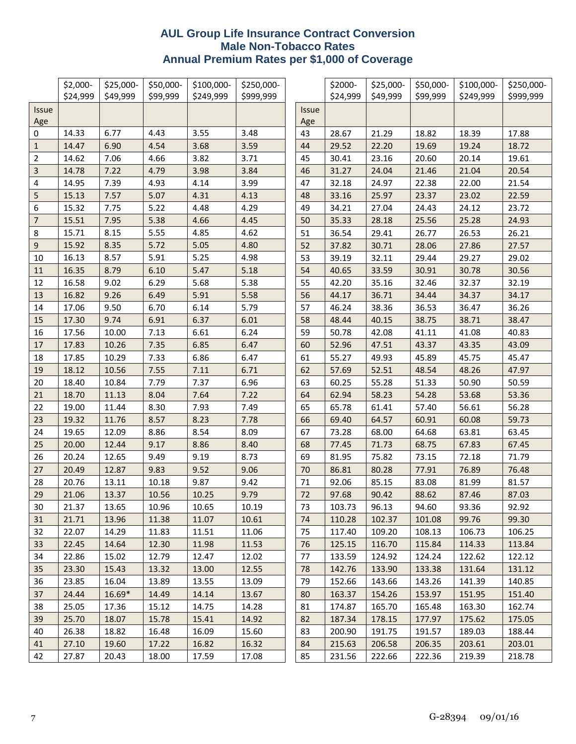# **AUL Group Life Insurance Contract Conversion Male Non-Tobacco Rates Annual Premium Rates per \$1,000 of Coverage**

|                | \$2,000- | \$25,000- | \$50,000- | \$100,000- | \$250,000- |              | \$2000-  | \$25,000- | \$50,000- | \$100,000- | \$250,000- |
|----------------|----------|-----------|-----------|------------|------------|--------------|----------|-----------|-----------|------------|------------|
|                | \$24,999 | \$49,999  | \$99,999  | \$249,999  | \$999,999  |              | \$24,999 | \$49,999  | \$99,999  | \$249,999  | \$999,999  |
| <b>Issue</b>   |          |           |           |            |            | <b>Issue</b> |          |           |           |            |            |
| Age            |          |           |           |            |            | Age          |          |           |           |            |            |
| 0              | 14.33    | 6.77      | 4.43      | 3.55       | 3.48       | 43           | 28.67    | 21.29     | 18.82     | 18.39      | 17.88      |
| $1\,$          | 14.47    | 6.90      | 4.54      | 3.68       | 3.59       | 44           | 29.52    | 22.20     | 19.69     | 19.24      | 18.72      |
| 2              | 14.62    | 7.06      | 4.66      | 3.82       | 3.71       | 45           | 30.41    | 23.16     | 20.60     | 20.14      | 19.61      |
| 3              | 14.78    | 7.22      | 4.79      | 3.98       | 3.84       | 46           | 31.27    | 24.04     | 21.46     | 21.04      | 20.54      |
| 4              | 14.95    | 7.39      | 4.93      | 4.14       | 3.99       | 47           | 32.18    | 24.97     | 22.38     | 22.00      | 21.54      |
| 5              | 15.13    | 7.57      | 5.07      | 4.31       | 4.13       | 48           | 33.16    | 25.97     | 23.37     | 23.02      | 22.59      |
| 6              | 15.32    | 7.75      | 5.22      | 4.48       | 4.29       | 49           | 34.21    | 27.04     | 24.43     | 24.12      | 23.72      |
| $\overline{7}$ | 15.51    | 7.95      | 5.38      | 4.66       | 4.45       | 50           | 35.33    | 28.18     | 25.56     | 25.28      | 24.93      |
| 8              | 15.71    | 8.15      | 5.55      | 4.85       | 4.62       | 51           | 36.54    | 29.41     | 26.77     | 26.53      | 26.21      |
| 9              | 15.92    | 8.35      | 5.72      | 5.05       | 4.80       | 52           | 37.82    | 30.71     | 28.06     | 27.86      | 27.57      |
| 10             | 16.13    | 8.57      | 5.91      | 5.25       | 4.98       | 53           | 39.19    | 32.11     | 29.44     | 29.27      | 29.02      |
| 11             | 16.35    | 8.79      | 6.10      | 5.47       | 5.18       | 54           | 40.65    | 33.59     | 30.91     | 30.78      | 30.56      |
| 12             | 16.58    | 9.02      | 6.29      | 5.68       | 5.38       | 55           | 42.20    | 35.16     | 32.46     | 32.37      | 32.19      |
| 13             | 16.82    | 9.26      | 6.49      | 5.91       | 5.58       | 56           | 44.17    | 36.71     | 34.44     | 34.37      | 34.17      |
| 14             | 17.06    | 9.50      | 6.70      | 6.14       | 5.79       | 57           | 46.24    | 38.36     | 36.53     | 36.47      | 36.26      |
| 15             | 17.30    | 9.74      | 6.91      | 6.37       | 6.01       | 58           | 48.44    | 40.15     | 38.75     | 38.71      | 38.47      |
| 16             | 17.56    | 10.00     | 7.13      | 6.61       | 6.24       | 59           | 50.78    | 42.08     | 41.11     | 41.08      | 40.83      |
| 17             | 17.83    | 10.26     | 7.35      | 6.85       | 6.47       | 60           | 52.96    | 47.51     | 43.37     | 43.35      | 43.09      |
| 18             | 17.85    | 10.29     | 7.33      | 6.86       | 6.47       | 61           | 55.27    | 49.93     | 45.89     | 45.75      | 45.47      |
| 19             | 18.12    | 10.56     | 7.55      | 7.11       | 6.71       | 62           | 57.69    | 52.51     | 48.54     | 48.26      | 47.97      |
| 20             | 18.40    | 10.84     | 7.79      | 7.37       | 6.96       | 63           | 60.25    | 55.28     | 51.33     | 50.90      | 50.59      |
| 21             | 18.70    | 11.13     | 8.04      | 7.64       | 7.22       | 64           | 62.94    | 58.23     | 54.28     | 53.68      | 53.36      |
| 22             | 19.00    | 11.44     | 8.30      | 7.93       | 7.49       | 65           | 65.78    | 61.41     | 57.40     | 56.61      | 56.28      |
| 23             | 19.32    | 11.76     | 8.57      | 8.23       | 7.78       | 66           | 69.40    | 64.57     | 60.91     | 60.08      | 59.73      |
| 24             | 19.65    | 12.09     | 8.86      | 8.54       | 8.09       | 67           | 73.28    | 68.00     | 64.68     | 63.81      | 63.45      |
| 25             | 20.00    | 12.44     | 9.17      | 8.86       | 8.40       | 68           | 77.45    | 71.73     | 68.75     | 67.83      | 67.45      |
| 26             | 20.24    | 12.65     | 9.49      | 9.19       | 8.73       | 69           | 81.95    | 75.82     | 73.15     | 72.18      | 71.79      |
| 27             | 20.49    | 12.87     | 9.83      | 9.52       | 9.06       | 70           | 86.81    | 80.28     | 77.91     | 76.89      | 76.48      |
| 28             | 20.76    | 13.11     | 10.18     | 9.87       | 9.42       | 71           | 92.06    | 85.15     | 83.08     | 81.99      | 81.57      |
| 29             | 21.06    | 13.37     | 10.56     | 10.25      | 9.79       | 72           | 97.68    | 90.42     | 88.62     | 87.46      | 87.03      |
| 30             | 21.37    | 13.65     | 10.96     | 10.65      | 10.19      | 73           | 103.73   | 96.13     | 94.60     | 93.36      | 92.92      |
| 31             | 21.71    | 13.96     | 11.38     | 11.07      | 10.61      | 74           | 110.28   | 102.37    | 101.08    | 99.76      | 99.30      |
| 32             | 22.07    | 14.29     | 11.83     | 11.51      | 11.06      | 75           | 117.40   | 109.20    | 108.13    | 106.73     | 106.25     |
| 33             | 22.45    | 14.64     | 12.30     | 11.98      | 11.53      | 76           | 125.15   | 116.70    | 115.84    | 114.33     | 113.84     |
| 34             | 22.86    | 15.02     | 12.79     | 12.47      | 12.02      | 77           | 133.59   | 124.92    | 124.24    | 122.62     | 122.12     |
| 35             | 23.30    | 15.43     | 13.32     | 13.00      | 12.55      | 78           | 142.76   | 133.90    | 133.38    | 131.64     | 131.12     |
| 36             | 23.85    | 16.04     | 13.89     | 13.55      | 13.09      | 79           | 152.66   | 143.66    | 143.26    | 141.39     | 140.85     |
| 37             | 24.44    | $16.69*$  | 14.49     | 14.14      | 13.67      | 80           | 163.37   | 154.26    | 153.97    | 151.95     | 151.40     |
| 38             | 25.05    | 17.36     | 15.12     | 14.75      | 14.28      | 81           | 174.87   | 165.70    | 165.48    | 163.30     | 162.74     |
| 39             | 25.70    | 18.07     | 15.78     | 15.41      | 14.92      | 82           | 187.34   | 178.15    | 177.97    | 175.62     | 175.05     |
| 40             | 26.38    | 18.82     | 16.48     | 16.09      | 15.60      | 83           | 200.90   | 191.75    | 191.57    | 189.03     | 188.44     |
| 41             | 27.10    | 19.60     | 17.22     | 16.82      | 16.32      | 84           | 215.63   | 206.58    | 206.35    | 203.61     | 203.01     |
| 42             | 27.87    | 20.43     | 18.00     | 17.59      | 17.08      | 85           | 231.56   | 222.66    | 222.36    | 219.39     | 218.78     |